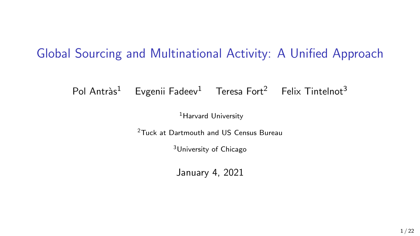### Global Sourcing and Multinational Activity: A Unified Approach

Pol Antràs<sup>1</sup> Evgenii Fadeev<sup>1</sup> Teresa Fort<sup>2</sup> Felix Tintelnot<sup>3</sup>

<sup>1</sup>Harvard University

<sup>2</sup>Tuck at Dartmouth and US Census Bureau

<sup>3</sup>University of Chicago

January 4, 2021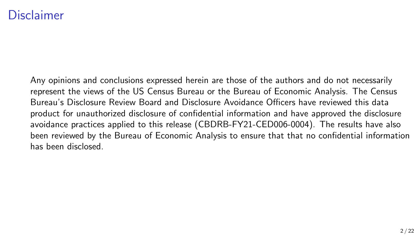#### Disclaimer

Any opinions and conclusions expressed herein are those of the authors and do not necessarily represent the views of the US Census Bureau or the Bureau of Economic Analysis. The Census Bureau's Disclosure Review Board and Disclosure Avoidance Officers have reviewed this data product for unauthorized disclosure of confidential information and have approved the disclosure avoidance practices applied to this release (CBDRB-FY21-CED006-0004). The results have also been reviewed by the Bureau of Economic Analysis to ensure that that no confidential information has been disclosed.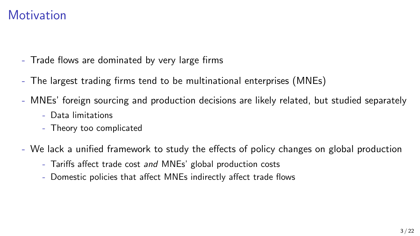#### **Motivation**

- Trade flows are dominated by very large firms
- The largest trading firms tend to be multinational enterprises (MNEs)
- MNEs' foreign sourcing and production decisions are likely related, but studied separately
	- Data limitations
	- Theory too complicated
- We lack a unified framework to study the effects of policy changes on global production
	- Tariffs affect trade cost and MNEs' global production costs
	- Domestic policies that affect MNEs indirectly affect trade flows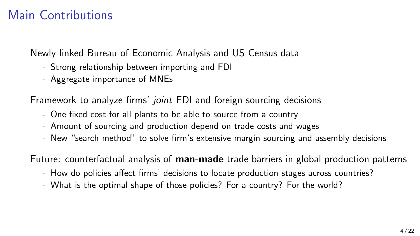### Main Contributions

- Newly linked Bureau of Economic Analysis and US Census data
	- Strong relationship between importing and FDI
	- Aggregate importance of MNEs
- Framework to analyze firms' joint FDI and foreign sourcing decisions
	- One fixed cost for all plants to be able to source from a country
	- Amount of sourcing and production depend on trade costs and wages
	- New "search method" to solve firm's extensive margin sourcing and assembly decisions
- Future: counterfactual analysis of **man-made** trade barriers in global production patterns
	- How do policies affect firms' decisions to locate production stages across countries?
	- What is the optimal shape of those policies? For a country? For the world?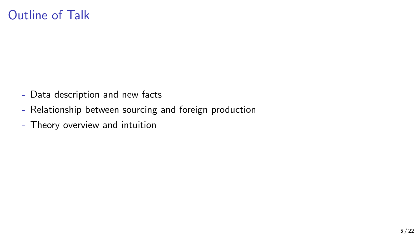#### Outline of Talk

- Data description and new facts
- Relationship between sourcing and foreign production
- Theory overview and intuition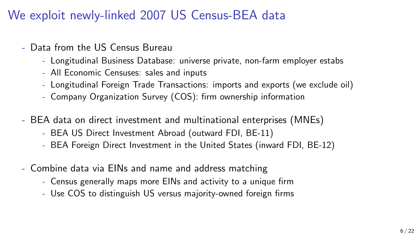We exploit newly-linked 2007 US Census-BEA data

- Data from the US Census Bureau
	- Longitudinal Business Database: universe private, non-farm employer estabs
	- All Economic Censuses: sales and inputs
	- Longitudinal Foreign Trade Transactions: imports and exports (we exclude oil)
	- Company Organization Survey (COS): firm ownership information
- BEA data on direct investment and multinational enterprises (MNEs)
	- BEA US Direct Investment Abroad (outward FDI, BE-11)
	- BEA Foreign Direct Investment in the United States (inward FDI, BE-12)
- Combine data via EINs and name and address matching
	- Census generally maps more EINs and activity to a unique firm
	- Use COS to distinguish US versus majority-owned foreign firms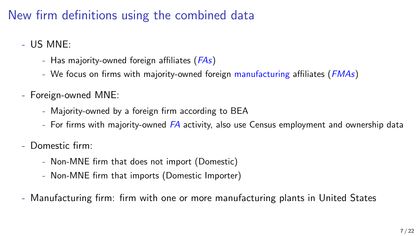## New firm definitions using the combined data

- US MNE:
	- Has majority-owned foreign affiliates (*FAs*)
	- We focus on firms with majority-owned foreign manufacturing affiliates (*FMAs*)
- Foreign-owned MNE:
	- Majority-owned by a foreign firm according to BEA
	- For firms with majority-owned  $FA$  activity, also use Census employment and ownership data
- Domestic firm:
	- Non-MNE firm that does not import (Domestic)
	- Non-MNE firm that imports (Domestic Importer)
- Manufacturing firm: firm with one or more manufacturing plants in United States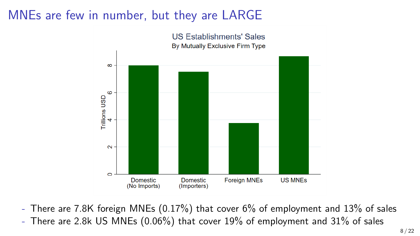## MNEs are few in number, but they are LARGE



- There are 7.8K foreign MNEs (0.17%) that cover 6% of employment and 13% of sales

- There are 2.8k US MNEs (0.06%) that cover 19% of employment and 31% of sales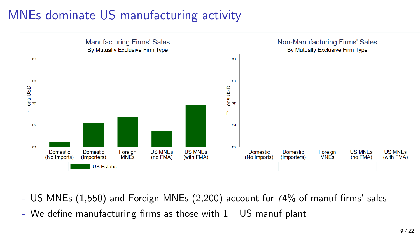## MNEs dominate US manufacturing activity



- US MNEs (1,550) and Foreign MNEs (2,200) account for 74% of manuf firms' sales
- We define manufacturing firms as those with  $1+$  US manuf plant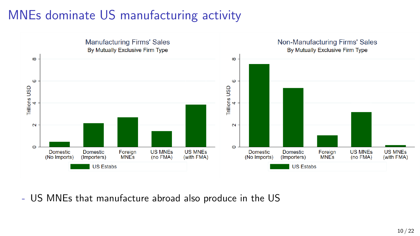## MNEs dominate US manufacturing activity



- US MNEs that manufacture abroad also produce in the US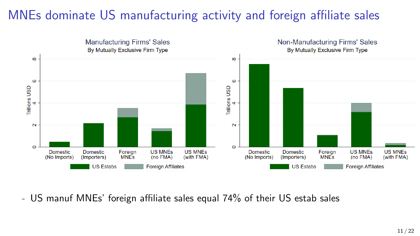## MNEs dominate US manufacturing activity and foreign affiliate sales



- US manuf MNEs' foreign affiliate sales equal 74% of their US estab sales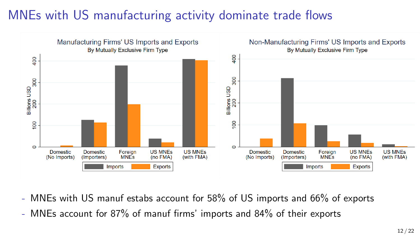## MNEs with US manufacturing activity dominate trade flows



- MNEs with US manuf estabs account for 58% of US imports and 66% of exports
- MNEs account for 87% of manuf firms' imports and 84% of their exports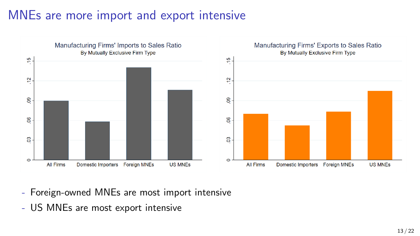### MNEs are more import and export intensive



- Foreign-owned MNEs are most import intensive
- US MNEs are most export intensive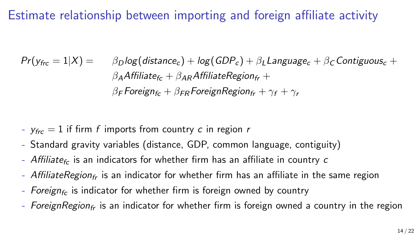Estimate relationship between importing and foreign affiliate activity

 $Pr(y_{\text{frc}} = 1|X) = \beta_D \log(\text{distance}_c) + \log(\text{GDP}_c) + \beta_L \text{Language}_c + \beta_C \text{Contiguous}_c +$  $\beta_A$ Affiliate $f_c + \beta_{AB}$ AffiliateRegion $f_r +$  $\beta$ <sub>F</sub> Foreign<sub>fc</sub> +  $\beta$ <sub>FP</sub> ForeignRegion<sub>fr</sub> +  $\gamma_f$  +  $\gamma_r$ 

- $y_{\text{frc}} = 1$  if firm f imports from country c in region r
- Standard gravity variables (distance, GDP, common language, contiguity)
- Affiliate<sub>fc</sub> is an indicators for whether firm has an affiliate in country c
- AffiliateRegion<sub>fr</sub> is an indicator for whether firm has an affiliate in the same region
- Foreign<sub>fc</sub> is indicator for whether firm is foreign owned by country
- ForeignRegion<sub>fr</sub> is an indicator for whether firm is foreign owned a country in the region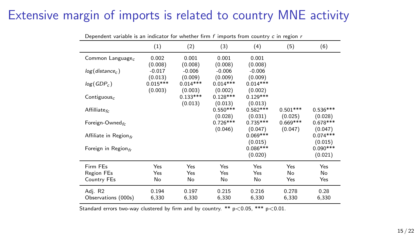#### Extensive margin of imports is related to country MNE activity

|                                  | (1)                   | (2)                   | (3)                   | (4)                   | (5)                   | (6)                   |
|----------------------------------|-----------------------|-----------------------|-----------------------|-----------------------|-----------------------|-----------------------|
| Common Language <sub>c</sub>     | 0.002<br>(0.008)      | 0.001<br>(0.008)      | 0.001<br>(0.008)      | 0.001<br>(0.008)      |                       |                       |
| log(distance <sub>c</sub> )      | $-0.017$<br>(0.013)   | $-0.006$<br>(0.009)   | $-0.006$<br>(0.009)   | $-0.006$<br>(0.009)   |                       |                       |
| $log(GDP_c)$                     | $0.015***$<br>(0.003) | $0.014***$<br>(0.003) | $0.014***$<br>(0.002) | $0.014***$<br>(0.002) |                       |                       |
| Contiguous $_c$                  |                       | $0.133***$<br>(0.013) | $0.128***$<br>(0.013) | $0.129***$<br>(0.013) |                       |                       |
| Affilliate <sub>fc</sub>         |                       |                       | $0.550***$<br>(0.028) | $0.582***$<br>(0.031) | $0.501***$<br>(0.025) | $0.536***$<br>(0.028) |
| Foreign-Owned $_{fc}$            |                       |                       | $0.726***$<br>(0.046) | $0.735***$<br>(0.047) | $0.669***$<br>(0.047) | $0.678***$<br>(0.047) |
| Affiliate in Region $f_r$        |                       |                       |                       | $0.069***$<br>(0.015) |                       | $0.074***$<br>(0.015) |
| Foreign in Region $_f$           |                       |                       |                       | $0.086***$<br>(0.020) |                       | $0.090***$<br>(0.021) |
| Firm FEs                         | Yes                   | Yes                   | Yes                   | Yes                   | Yes                   | Yes                   |
| <b>Region FEs</b><br>Country FEs | Yes<br>No             | Yes<br>No             | Yes<br>No             | Yes<br>No             | No<br>Yes             | No<br>Yes             |
| Adj. R2<br>Observations (000s)   | 0.194<br>6,330        | 0.197<br>6,330        | 0.215<br>6,330        | 0.216<br>6,330        | 0.278<br>6,330        | 0.28<br>6,330         |

Dependent variable is an indicator for whether firm  $f$  imports from country  $c$  in region  $r$ 

Standard errors two-way clustered by firm and by country. \*\*  $p < 0.05$ , \*\*\*  $p < 0.01$ .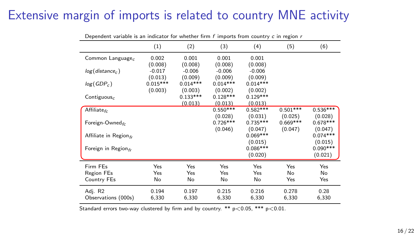#### Extensive margin of imports is related to country MNE activity

|                              | (1)        | (2)        | (3)        | (4)        | (5)        | (6)        |
|------------------------------|------------|------------|------------|------------|------------|------------|
| Common Language <sub>c</sub> | 0.002      | 0.001      | 0.001      | 0.001      |            |            |
|                              | (0.008)    | (0.008)    | (0.008)    | (0.008)    |            |            |
| $log(distance_c)$            | $-0.017$   | $-0.006$   | $-0.006$   | $-0.006$   |            |            |
|                              | (0.013)    | (0.009)    | (0.009)    | (0.009)    |            |            |
| log(GDP <sub>c</sub> )       | $0.015***$ | $0.014***$ | $0.014***$ | $0.014***$ |            |            |
|                              | (0.003)    | (0.003)    | (0.002)    | (0.002)    |            |            |
| Contiguous $_c$              |            | $0.133***$ | $0.128***$ | $0.129***$ |            |            |
|                              |            | (0.013)    | (0.013)    | (0.013)    |            |            |
| Affiliate <sub>fc</sub>      |            |            | $0.550***$ | $0.582***$ | $0.501***$ | $0.536***$ |
|                              |            |            | (0.028)    | (0.031)    | (0.025)    | (0.028)    |
| Foreign-Owned $_{fr}$        |            |            | $0.726***$ | $0.735***$ | $0.669***$ | $0.678***$ |
|                              |            |            | (0.046)    | (0.047)    | (0.047)    | (0.047)    |
| Affiliate in Region $f_r$    |            |            |            | $0.069***$ |            | $0.074***$ |
|                              |            |            |            | (0.015)    |            | (0.015)    |
| Foreign in Region $_f$       |            |            |            | $0.086***$ |            | $0.090***$ |
|                              |            |            |            | (0.020)    |            | (0.021)    |
| Firm FEs                     | Yes        | Yes        | Yes        | Yes        | Yes        | Yes        |
| <b>Region FEs</b>            | Yes        | Yes        | Yes        | Yes        | No         | No         |
| Country FEs                  | No         | No         | No         | No         | Yes        | Yes        |
| Adj. R2                      | 0.194      | 0.197      | 0.215      | 0.216      | 0.278      | 0.28       |
| Observations (000s)          | 6,330      | 6,330      | 6,330      | 6,330      | 6,330      | 6,330      |

Dependent variable is an indicator for whether firm  $f$  imports from country  $c$  in region  $r$ 

Standard errors two-way clustered by firm and by country. \*\*  $p < 0.05$ , \*\*\*  $p < 0.01$ .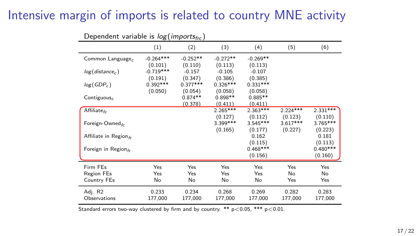#### Intensive margin of imports is related to country MNE activity

| (6)<br>(3)<br>(4)<br>(5)<br>(1)<br>(2)<br>$-0.264***$<br>$-0.252**$<br>$-0.272**$<br>$-0.269**$<br>Common Language <sub>c</sub><br>(0.101)<br>(0.110)<br>(0.113)<br>(0.113)<br>$-0.719***$<br>$-0.157$<br>$-0.105$<br>$-0.107$<br>$log(distance_c)$<br>(0.347)<br>(0.386)<br>(0.385)<br>(0.191)<br>$0.392***$<br>$0.326***$<br>$0.377***$<br>$0.331***$<br>$log(GDP_c)$<br>(0.050)<br>(0.054)<br>(0.058)<br>(0.058)<br>$0.874**$<br>$0.898**$<br>$0.885**$<br>Contiguous <sub>c</sub><br>(0.411)<br>(0.378)<br>(0.411)<br>$2.265***$<br>$2.363***$<br>$2.224***$<br>Affiliate <sub>fc</sub><br>(0.112)<br>(0.123)<br>(0.127)<br>(0.110)<br>3.399***<br>$3.545***$<br>$3.617***$<br>Foreign-Owned $f_r$<br>(0.177)<br>(0.227)<br>(0.223)<br>(0.165)<br>0.162<br>0.181<br>Affiliate in Region $_f$<br>(0.115)<br>(0.113)<br>$0.468***$<br>Foreign in Region $_{fr}$<br>(0.156)<br>(0.160)<br>Firm FEs<br>Yes<br>Yes<br>Yes<br>Yes<br>Yes<br>Yes<br>Region FEs<br>Yes<br>Yes<br>No<br>No<br>Yes<br>Yes<br>No<br>No<br>Yes<br>Yes<br>Country FEs<br>No<br>No<br>0.233<br>0.234<br>0.268<br>0.269<br>0.282<br>0.283<br>Adj. R2 | Dependent variable is $log(mnpo)$ $exptrc$ |         |         |         |         |         |            |
|---------------------------------------------------------------------------------------------------------------------------------------------------------------------------------------------------------------------------------------------------------------------------------------------------------------------------------------------------------------------------------------------------------------------------------------------------------------------------------------------------------------------------------------------------------------------------------------------------------------------------------------------------------------------------------------------------------------------------------------------------------------------------------------------------------------------------------------------------------------------------------------------------------------------------------------------------------------------------------------------------------------------------------------------------------------------------------------------------------------------------|--------------------------------------------|---------|---------|---------|---------|---------|------------|
|                                                                                                                                                                                                                                                                                                                                                                                                                                                                                                                                                                                                                                                                                                                                                                                                                                                                                                                                                                                                                                                                                                                           |                                            |         |         |         |         |         |            |
|                                                                                                                                                                                                                                                                                                                                                                                                                                                                                                                                                                                                                                                                                                                                                                                                                                                                                                                                                                                                                                                                                                                           |                                            |         |         |         |         |         |            |
|                                                                                                                                                                                                                                                                                                                                                                                                                                                                                                                                                                                                                                                                                                                                                                                                                                                                                                                                                                                                                                                                                                                           |                                            |         |         |         |         |         |            |
|                                                                                                                                                                                                                                                                                                                                                                                                                                                                                                                                                                                                                                                                                                                                                                                                                                                                                                                                                                                                                                                                                                                           |                                            |         |         |         |         |         |            |
|                                                                                                                                                                                                                                                                                                                                                                                                                                                                                                                                                                                                                                                                                                                                                                                                                                                                                                                                                                                                                                                                                                                           |                                            |         |         |         |         |         |            |
|                                                                                                                                                                                                                                                                                                                                                                                                                                                                                                                                                                                                                                                                                                                                                                                                                                                                                                                                                                                                                                                                                                                           |                                            |         |         |         |         |         |            |
|                                                                                                                                                                                                                                                                                                                                                                                                                                                                                                                                                                                                                                                                                                                                                                                                                                                                                                                                                                                                                                                                                                                           |                                            |         |         |         |         |         |            |
|                                                                                                                                                                                                                                                                                                                                                                                                                                                                                                                                                                                                                                                                                                                                                                                                                                                                                                                                                                                                                                                                                                                           |                                            |         |         |         |         |         |            |
|                                                                                                                                                                                                                                                                                                                                                                                                                                                                                                                                                                                                                                                                                                                                                                                                                                                                                                                                                                                                                                                                                                                           |                                            |         |         |         |         |         |            |
|                                                                                                                                                                                                                                                                                                                                                                                                                                                                                                                                                                                                                                                                                                                                                                                                                                                                                                                                                                                                                                                                                                                           |                                            |         |         |         |         |         | $2.331***$ |
|                                                                                                                                                                                                                                                                                                                                                                                                                                                                                                                                                                                                                                                                                                                                                                                                                                                                                                                                                                                                                                                                                                                           |                                            |         |         |         |         |         |            |
|                                                                                                                                                                                                                                                                                                                                                                                                                                                                                                                                                                                                                                                                                                                                                                                                                                                                                                                                                                                                                                                                                                                           |                                            |         |         |         |         |         | $3.765***$ |
|                                                                                                                                                                                                                                                                                                                                                                                                                                                                                                                                                                                                                                                                                                                                                                                                                                                                                                                                                                                                                                                                                                                           |                                            |         |         |         |         |         |            |
|                                                                                                                                                                                                                                                                                                                                                                                                                                                                                                                                                                                                                                                                                                                                                                                                                                                                                                                                                                                                                                                                                                                           |                                            |         |         |         |         |         |            |
|                                                                                                                                                                                                                                                                                                                                                                                                                                                                                                                                                                                                                                                                                                                                                                                                                                                                                                                                                                                                                                                                                                                           |                                            |         |         |         |         |         |            |
|                                                                                                                                                                                                                                                                                                                                                                                                                                                                                                                                                                                                                                                                                                                                                                                                                                                                                                                                                                                                                                                                                                                           |                                            |         |         |         |         |         | $0.480***$ |
|                                                                                                                                                                                                                                                                                                                                                                                                                                                                                                                                                                                                                                                                                                                                                                                                                                                                                                                                                                                                                                                                                                                           |                                            |         |         |         |         |         |            |
|                                                                                                                                                                                                                                                                                                                                                                                                                                                                                                                                                                                                                                                                                                                                                                                                                                                                                                                                                                                                                                                                                                                           |                                            |         |         |         |         |         |            |
|                                                                                                                                                                                                                                                                                                                                                                                                                                                                                                                                                                                                                                                                                                                                                                                                                                                                                                                                                                                                                                                                                                                           |                                            |         |         |         |         |         |            |
|                                                                                                                                                                                                                                                                                                                                                                                                                                                                                                                                                                                                                                                                                                                                                                                                                                                                                                                                                                                                                                                                                                                           |                                            |         |         |         |         |         |            |
|                                                                                                                                                                                                                                                                                                                                                                                                                                                                                                                                                                                                                                                                                                                                                                                                                                                                                                                                                                                                                                                                                                                           |                                            |         |         |         |         |         |            |
|                                                                                                                                                                                                                                                                                                                                                                                                                                                                                                                                                                                                                                                                                                                                                                                                                                                                                                                                                                                                                                                                                                                           | Observations                               | 177,000 | 177,000 | 177,000 | 177,000 | 177,000 | 177,000    |

Dependent variable is  $lor($  imports.)

Standard errors two-way clustered by firm and by country.  $**$   $p<0.05$ ,  $***$   $p<0.01$ .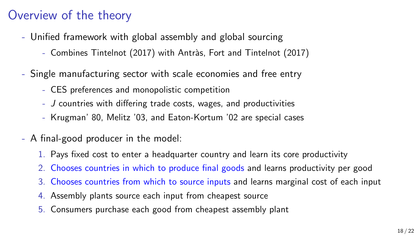## Overview of the theory

- Unified framework with global assembly and global sourcing
	- Combines Tintelnot (2017) with Antràs, Fort and Tintelnot (2017)
- Single manufacturing sector with scale economies and free entry
	- CES preferences and monopolistic competition
	- J countries with differing trade costs, wages, and productivities
	- Krugman' 80, Melitz '03, and Eaton-Kortum '02 are special cases
- A final-good producer in the model:
	- 1. Pays fixed cost to enter a headquarter country and learn its core productivity
	- 2. Chooses countries in which to produce final goods and learns productivity per good
	- 3. Chooses countries from which to source inputs and learns marginal cost of each input
	- 4. Assembly plants source each input from cheapest source
	- 5. Consumers purchase each good from cheapest assembly plant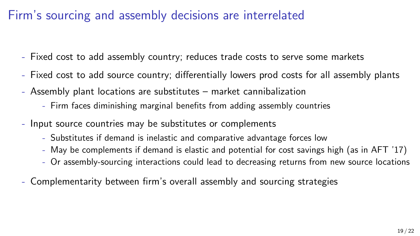### Firm's sourcing and assembly decisions are interrelated

- Fixed cost to add assembly country; reduces trade costs to serve some markets
- Fixed cost to add source country; differentially lowers prod costs for all assembly plants
- Assembly plant locations are substitutes market cannibalization
	- Firm faces diminishing marginal benefits from adding assembly countries
- Input source countries may be substitutes or complements
	- Substitutes if demand is inelastic and comparative advantage forces low
	- May be complements if demand is elastic and potential for cost savings high (as in AFT '17)
	- Or assembly-sourcing interactions could lead to decreasing returns from new source locations
- Complementarity between firm's overall assembly and sourcing strategies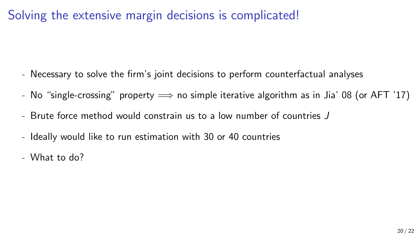### Solving the extensive margin decisions is complicated!

- Necessary to solve the firm's joint decisions to perform counterfactual analyses
- No "single-crossing" property  $\implies$  no simple iterative algorithm as in Jia' 08 (or AFT '17)
- Brute force method would constrain us to a low number of countries J
- Ideally would like to run estimation with 30 or 40 countries
- What to do?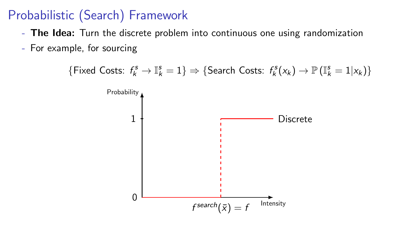## Probabilistic (Search) Framework

- The Idea: Turn the discrete problem into continuous one using randomization
- For example, for sourcing

 $\{\text{Fixed Costs: } f_k^s \to \mathbb{I}_k^s = 1\} \Rightarrow \{\text{Search Costs: } f_k^s(x_k) \to \mathbb{P}\left(\mathbb{I}_k^s = 1 | x_k\right)\}$ 

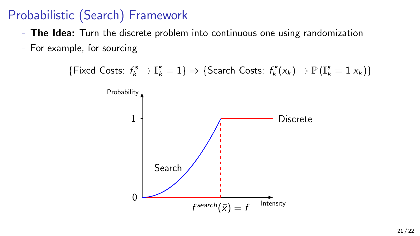## Probabilistic (Search) Framework

- The Idea: Turn the discrete problem into continuous one using randomization
- For example, for sourcing

 $\{\text{Fixed Costs: } f_k^s \to \mathbb{I}_k^s = 1\} \Rightarrow \{\text{Search Costs: } f_k^s(x_k) \to \mathbb{P}\left(\mathbb{I}_k^s = 1 | x_k\right)\}$ 

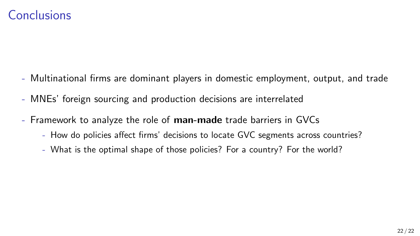- Multinational firms are dominant players in domestic employment, output, and trade
- MNEs' foreign sourcing and production decisions are interrelated
- Framework to analyze the role of man-made trade barriers in GVCs
	- How do policies affect firms' decisions to locate GVC segments across countries?
	- What is the optimal shape of those policies? For a country? For the world?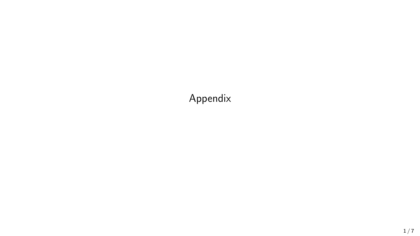Appendix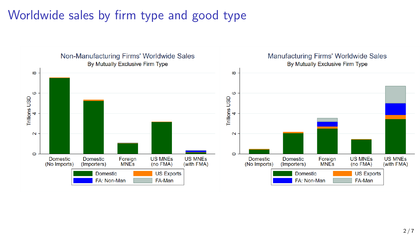# Worldwide sales by firm type and good type

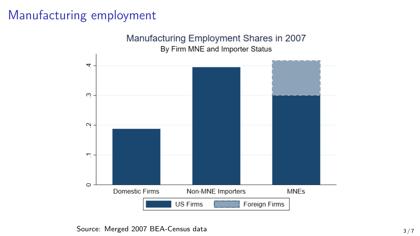## Manufacturing employment



Source: Merged 2007 BEA-Census data 3/7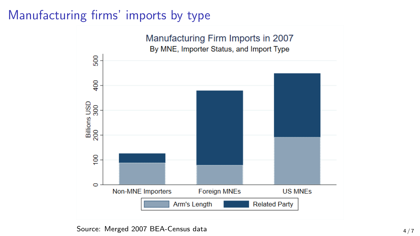## Manufacturing firms' imports by type



Source: Merged 2007 BEA-Census data 4 / 7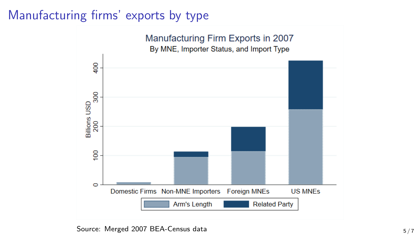## Manufacturing firms' exports by type



Source: Merged 2007 BEA-Census data 5 / 7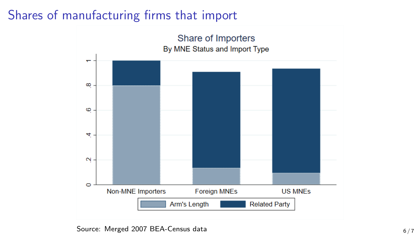## Shares of manufacturing firms that import



Source: Merged 2007 BEA-Census data 6 / 7  $6/7$